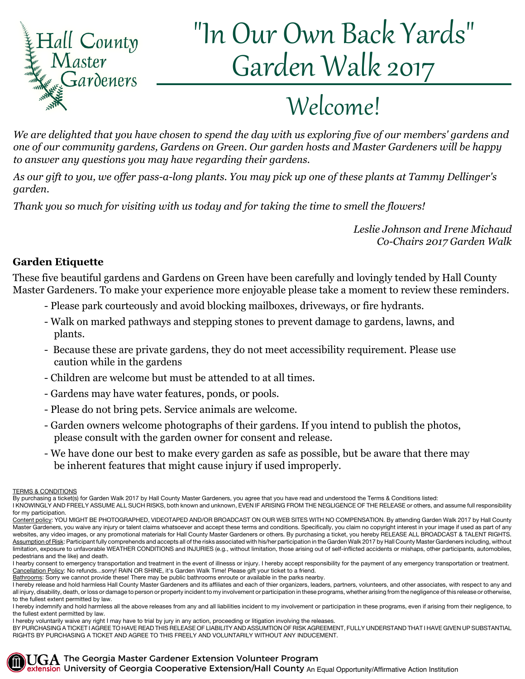

# "In Our Own Back Yards " Garden Walk 2017

### Welcome!

We are delighted that you have chosen to spend the day with us exploring five of our members' gardens and *one of our community gardens, Gardens on Green. Our garden hosts and Master Gardeners will be happy to answer any questions you may have regarding their gardens.*

As our gift to you, we offer pass-a-long plants. You may pick up one of these plants at Tammy Dellinger's *garden.*

*Thank you so much for visiting with us today and for taking the time to smell the flowers!*

*Leslie Johnson and Irene Michaud Co-Chairs 2017 Garden Walk*

#### **Garden Etiquette**

These five beautiful gardens and Gardens on Green have been carefully and lovingly tended by Hall County Master Gardeners. To make your experience more enjoyable please take a moment to review these reminders.

- Please park courteously and avoid blocking mailboxes, driveways, or fire hydrants.
- Walk on marked pathways and stepping stones to prevent damage to gardens, lawns, and plants.
- Because these are private gardens, they do not meet accessibility requirement. Please use caution while in the gardens
- Children are welcome but must be attended to at all times.
- Gardens may have water features, ponds, or pools.
- Please do not bring pets. Service animals are welcome.
- Garden owners welcome photographs of their gardens. If you intend to publish the photos, please consult with the garden owner for consent and release.
- We have done our best to make every garden as safe as possible, but be aware that there may be inherent features that might cause injury if used improperly.

By purchasing a ticket(s) for Garden Walk 2017 by Hall County Master Gardeners, you agree that you have read and understood the Terms & Conditions listed: I KNOWINGLY AND FREELY ASSUME ALL SUCH RISKS, both known and unknown, EVEN IF ARISING FROM THE NEGLIGENCE OF THE RELEASE or others, and assume full responsibility for my participation.

Content policy: YOU MIGHT BE PHOTOGRAPHED, VIDEOTAPED AND/OR BROADCAST ON OUR WEB SITES WITH NO COMPENSATION. By attending Garden Walk 2017 by Hall County Master Gardeners, you waive any injury or talent claims whatsoever and accept these terms and conditions. Specifically, you claim no copyright interest in your image if used as part of any websites, any video images, or any promotional materials for Hall County Master Gardeners or others. By purchasing a ticket, you hereby RELEASE ALL BROADCAST & TALENT RIGHTS. Assumption of Risk: Participant fully comprehends and accepts all of the risks associated with his/her participation in the Garden Walk 2017 by Hall County Master Gardeners including, without limitation, exposure to unfavorable WEATHER CONDITIONS and INJURIES (e.g., without limitation, those arising out of self-inflicted accidents or mishaps, other participants, automobiles, pedestrians and the like) and death.

I hearby consent to emergency transportation and treatment in the event of illnesss or injury. I hereby accept responsibility for the payment of any emergency transportation or treatment. Cancellation Policy: No refunds...sorry! RAIN OR SHINE, it's Garden Walk Time! Please gift your ticket to a friend.

Bathrooms: Sorry we cannot provide these! There may be public bathrooms enroute or available in the parks nearby.

I hereby release and hold harmless Hall County Master Gardeners and its affiliates and each of thier organizers, leaders, partners, volunteers, and other associates, with respect to any and all injury, disability, death, or loss or damage to person or property incident to my involvement or participation in these programs, whether arising from the negligence of this release or otherwise, to the fullest extent permitted by law.

I hereby indemnify and hold harmless all the above releases from any and all liabilities incident to my involvement or participation in these programs, even if arising from their negligence, to the fullest extent permitted by law.

I hereby voluntarily waive any right I may have to trial by jury in any action, proceeding or litigation involving the releases.

BY PURCHASING A TICKET I AGREE TO HAVE READ THIS RELEASE OF LIABILITY AND ASSUMTION OF RISK AGREEMENT, FULLY UNDERSTAND THAT I HAVE GIVEN UP SUBSTANTIAL RIGHTS BY PURCHASING A TICKET AND AGREE TO THIS FREELY AND VOLUNTARILY WITHOUT ANY INDUCEMENT.



TERMS & CONDITIONS